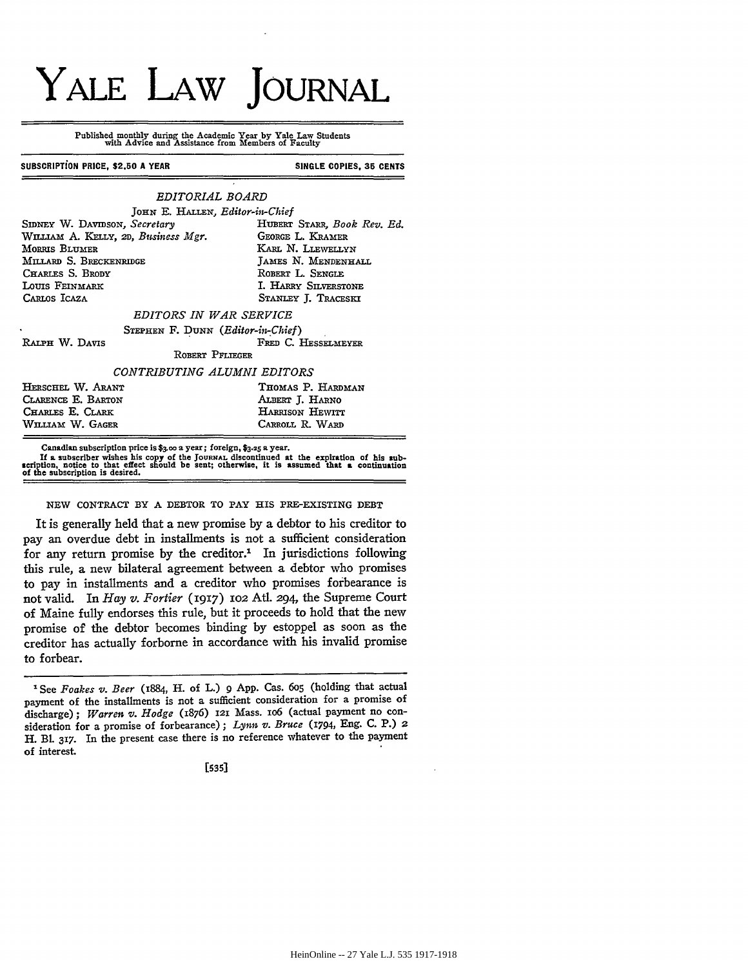## YALE LAW **JOURNAL** YALE LAw JOURNAL

Published monthly during the Academic Year by Yale Law Students<br>with Advice and Assistance from Members of Faculty

## SUBSCRIPTION PRICE, \$2.50 A YEAR SINGLE COPIES, 35 CENTS

| EDITORIAL BOARD                                                                                                                                                                                                                                                                                        |                             |
|--------------------------------------------------------------------------------------------------------------------------------------------------------------------------------------------------------------------------------------------------------------------------------------------------------|-----------------------------|
| JOHN E. HALLEN, <i>Editor-in-Chief</i>                                                                                                                                                                                                                                                                 |                             |
| SIDNEY W. DAVIDSON, Secretary                                                                                                                                                                                                                                                                          | HUBERT STARR, Book Rev. Ed. |
| WILLIAM A. KELLY, 2D, Business Mgr.                                                                                                                                                                                                                                                                    | GEORGE L. KRAMER            |
| MORRIS BLUMER                                                                                                                                                                                                                                                                                          | KARL N. LLEWELLYN           |
| MILLARD S. BRECKENRIDGE                                                                                                                                                                                                                                                                                | JAMES N. MENDENHALL         |
| CHARLES S. BRODY                                                                                                                                                                                                                                                                                       | ROBERT L. SENGLE            |
| LOUIS FEINMARK                                                                                                                                                                                                                                                                                         | I. HARRY SILVERSTONE        |
| CARLOS ICAZA                                                                                                                                                                                                                                                                                           | STANLEY J. TRACESKI         |
| EDITORS IN WAR SERVICE                                                                                                                                                                                                                                                                                 |                             |
| STEPHEN F. DUNN (Editor-in-Chief)                                                                                                                                                                                                                                                                      |                             |
| RALPH W. DAVIS                                                                                                                                                                                                                                                                                         | FRED C. HESSELMEYER         |
| ROBERT PFLIEGER                                                                                                                                                                                                                                                                                        |                             |
| CONTRIBUTING ALUMNI EDITORS                                                                                                                                                                                                                                                                            |                             |
| HERSCHEL W. ARANT                                                                                                                                                                                                                                                                                      | THOMAS P. HARDMAN           |
| CLARENCE E. BARTON                                                                                                                                                                                                                                                                                     | Albert J. Harno             |
| CHARLES E. CLARK                                                                                                                                                                                                                                                                                       | HARRISON HEWITT             |
| WILLIAM W. GAGER                                                                                                                                                                                                                                                                                       | CARROLL R. WARD             |
| Canadian subscription price is \$3.00 a year; foreign, \$3.25 a year.<br>If a subscriber wishes his copy of the JOURNAL discontinued at the expiration of his sub-<br>scription, notice to that effect should be sent; otherwise, it is assumed that a continuation<br>of the subscription is desired. |                             |

of the subscription is desired.<br>NEW CONTRACT BY A DEBTOR TO PAY HIS PRE-EXISTING DEBT

It is generally held that a new promise by a debtor to his creditor to pay an overdue debt in installments is not a sufficient consideration pay an overdue debt in installments is not a sufficient consideration for any return promise by the creditor.<sup>1</sup> In jurisdictions following this rule, a new bilateral agreement between a debtor who promises this rule, a new bilateral agreement between a debtor who promises to pay in installments and a creditor who promises forbearance is to pay in installments and a creditor who promises forbearance is<br>not valid. In *Hay v. Fortier* (1917) 102 Atl. 294, the Supreme Court of Maine fully endorses this rule, but it proceeds to hold that the new promise of the debtor becomes binding **by** estoppel as soon as the creditor has actually forborne in accordance with his invalid promise to forbear. to forbear. of Maine fully endorses this rule, but it proceeds to hold that the new<br>promise of the debtor becomes binding by estoppel as soon as the<br>creditor has actually forborne in accordance with his invalid promise

**[5351** [535]

ISee *Foakes v. Beer* (1884, H. of L.) **9 App.** Cas. **605** (holding that actual <sup>1</sup> See *Foakes v. Beer* (1884, H. of L.) 9 App. Cas. 605 (holding that actual payment of the installments is not a sufficient consideration for a promise of payment of the installments is not a sufficient consideration for a promise of discharge) ; *Warren v. Hodge* (1876) 121 Mass. io6 (actual payment no con-discharge); *Warren v. Hodge* (1876) 121 Mass. 106 (actual payment no consideration for a promise of forbearance); Lynn v. Bruce (1794, Eng. C. P.) 2 H. Bl. 317. In the present case there is no reference whatever to the payment<br>of interest. of interest.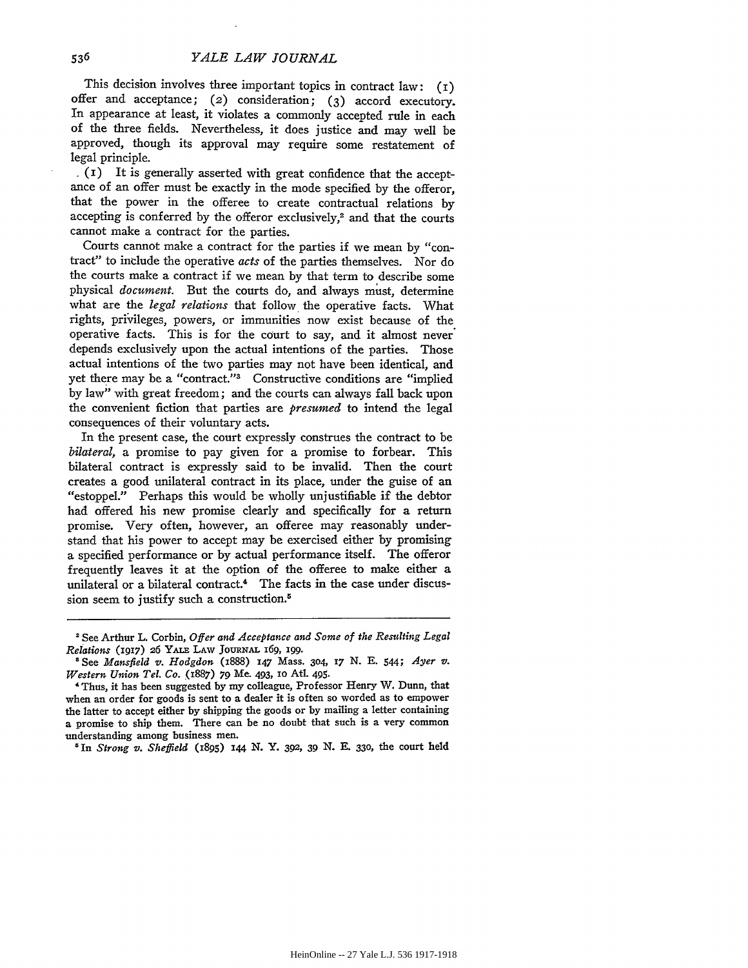This decision involves three important topics in contract law: (i) This decision involves three important topics in contract law: (I) offer and acceptance; (2) consideration; **(3)** accord executory. offer and acceptance; (2) consideration; (3) accord executory. In appearance at least, it violates a commonly accepted rule in each In appearance at least, it violates a commonly accepted rule in each of the three fields. Nevertheless, it does justice and may well be approved, though its approval may require some restatement of approved, though its approval may require some restatement of legal principle. legal principle.

 $(1)$  It is generally asserted with great confidence that the acceptance of an offer must be exactly in the mode specified by the offeror, that the power in the offeree to create contractual relations by that the power in the offeree to create contractual relations by accepting is conferred by the offeror exclusively,<sup>2</sup> and that the courts cannot make a contract for the parties.

cannot make a contract for the parties.<br>Courts cannot make a contract for the parties if we mean by "contract" to include the operative acts of the parties themselves. Nor do tract" to include the operative *acts* of the parties themselves. Nor do the courts make a contract if we mean by that term to describe some the courts make a contract if we mean by that term to describe some physical *document.* But the courts do, and always must, determine physical *document.* But the courts do, and always must, determine what are the *legal relations* that follow the operative facts. What what are the *legal relations* that follow the operative facts. What rights, privileges, powers, or immunities now exist because of the operative facts. This is for the court to say, and it almost never depends exclusively upon the actual intentions of the parties. Those depends exclusively upon the actual intentions of the parties. Those actual intentions of the two parties may not have been identical, and actual intentions of the two parties may not have been identical, and yet there may be a "contract."<sup>3</sup> Constructive conditions are "implied by law" with great freedom; and the courts can always fall back upon by law" with great freedom; and the courts can always fall back upon the convenient fiction that parties are *presumed* to intend the legal the convenient fiction that parties are *presumed* to intend the legal consequences of their voluntary acts. consequences of their voluntary acts.

In the present case, the court expressly construes the contract to be In the present case, the court expressly construes the contract to be *bilateral,* a promise to pay given for a promise to forbear. This *bilateral,* a promise to pay given for a promise to forbear. This bilateral contract is expressly said to be invalid. Then the court bilateral contract is expressly said to be invalid. Then the court creates a good unilateral contract in its place, under the guise of an creates a good unilateral contract in its place, under the guise of an "estoppel." Perhaps this would be wholly unjustifiable if the debtor "estoppeL" Perhaps this would be wholly unjustifiable if the debtor had offered his new promise clearly and specifically for a return had offered his new promise clearly and specifically for a return promise. Very often, however, an offeree may reasonably under-promise. Very often, however, an offeree may reasonably understand that his power to accept may be exercised either **by** promising stand that his power to accept may be exercised either by promising a specified performance or **by** actual performance itself. The offeror a specified performance or by actual performance itself. The offeror frequently leaves it at the option of the offeree to make either a frequently leaves it at the option of the offeree to make either a unilateral or a bilateral contract.' The facts in the case under discus-unilateral or a bilateral contract.4 The facts in the case under discussion seem to justify such a construction.<sup>5</sup>

<sup>&</sup>lt;sup>2</sup> See Arthur L. Corbin, *Offer and Acceptance and Some of the Resulting Legal Relations* **(1917)** 26 **YA.E** LAw JOTRNAL i6g, i99. *Relations* (1917) 26 YALE LAW JOURNAL 169, 199.

<sup>&#</sup>x27;See *Mansfield v. Hodgdon* (i888) **147** Mass. **304, 17 N. E.** 544; *Ayer v.* <sup>B</sup> See *Mansfield v. Hodgdon* (1888) 147 Mass. 304, 17 N. E. 544; *Ayer v. Western Union Tel. Co.* (1887) **79** Me. 493, io AtI. 495. *Western Union Tel. Co.* (1887) 79 Me. 493, 10 Atl. 495·

**<sup>&#</sup>x27;** Thus, it has been suggested by my colleague, Professor Henry W. Dunn, that .. Thus, it has been suggested by my colleague, Professor Henry W. Dunn, that when an order for goods is sent to a dealer it is often so worded as to empower when an order for goods is sent to a dealer it is often so worded as to empower the latter to accept either by shipping the goods or by mailing a letter containing the latter to accept either by shipping the goods or by mailing a letter containing a promise to ship them. There can be no doubt that such is a very common a promise to ship them. There can be no doubt that such is a very common understanding among business men.

understanding among business men.<br><sup>5</sup> In *Strong v. Sheffield* (1895) 144 N. Y. 392, 39 N. E. 330, the court held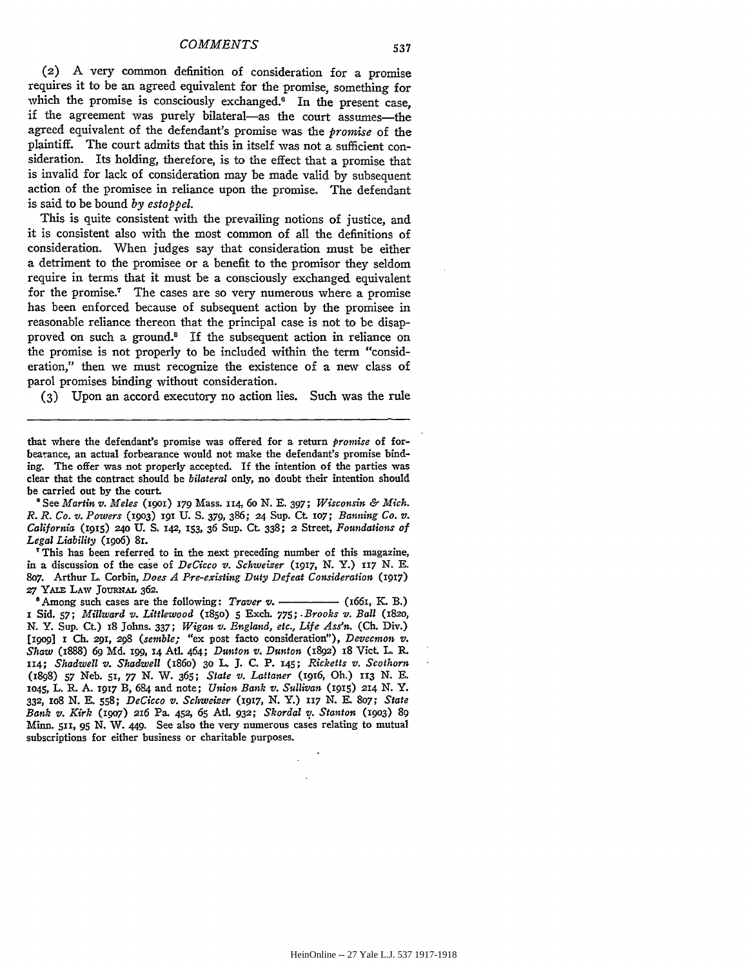**(2)** A very common definition of consideration for a promise (2) A very common definition of consideration for a promise requires it to be an agreed equivalent for the promise, something for which the promise is consciously exchanged.<sup>6</sup> In the present case, if the agreement was purely bilateral—as the court assumes—the agreed equivalent of the defendant's promise was the *promise* of the plaintiff. The court admits that this in itself was not a sufficient con-<br>planetian. The holding that the consideration. Its holding, therefore, is to the effect that a promise that<br>is invalid for lash of consideration was been dependent. is invalid for lack of consideration may be made valid by subsequent action of the promisee in reliance upon the promise. The defendant is said to be bound *by estoppel.* is said to be bound *by estoppel.*

This is quite consistent with the prevailing notions of justice, and<br>This consistent also with the prevailing notions of justice, and it is consistent also with the most common of all the definitions of consideration.  $W$  here is definitions on the definitions of  $W$ consideration. When judges say that consideration must be either consideration. When judges say that consideration must be either a detriment to the promisee or a benefit to the promisor they seldom<br>assume in terms that it was been a sensitively selected in the property require in terms that it must be a consciously exchanged equivalent for the promise.<sup>7</sup> The cases are so very numerous where a promise has been enforced because of subsequent action has the promise in has been enforced because of subsequent action by the promisee in<br>has been enforced because that the principal accelerate to be direct reasonable reliance thereon that the principal case is not to be disap-<br>recent as  $\frac{1}{2}$  regional case is not to be disapproved on such a ground.<sup>8</sup> If the subsequent action in reliance on the promise is not properly to be included within the term "consid-the promise is not properly to be included within the term "consideration," then we must recognize the existence of a new class of parol promises binding without consideration. parol promises binding without consideration.

**(3)** Upon an accord executory no action lies. Such was the rule (3) Upon an accord executory no action lies. Such was the rule

that where the defendant's promise was offered for a return *promise* of for-that where the defendant's promise was offered for a return *promise* of forbearance, an actual forbearance would not make the defendant's promise bind-<br>from The offer was not properly accepted. If the intention of the parties was  $\frac{1}{2}$  The offer was not properly accepted. If the intention of the parties was not properly accepted. If the intention of the parties was not properly accepted. If the intention of parties was not properly accepted. clear that the contract should be *bilateral* only, no doubt their intention should<br>be carried out by the court be carried out by the court.

be carried out by the court *<sup>6</sup>*See *Martin v. Meles* (190o) **179** Mass. 14, 6o *N.* **E. 397;** *Wisconsin & Mich.* • See *Martin v. Meles* (1901) 179 Mass. 114, 60 N. E. 397; *Wiscollsin* & *Mich.* R. R. Co. v. Powers (1903) 191 U. S. 379, 386; 24 Sup. Ct. 107; Banning Co. v.<br>California (1915) 249 U. S. 342, 352, 36 Sup. Ct. 228; 2 Street, Boundations of *California* (915) 240 U. **S.** 142, 153, 36 Sup. Ct **338;** 2 Street, *Foundations of California* (1915) 240 U. S. 142, 153,36 Sup. Ct. 338; 2 Street, *FOU1ldations of Legal Liability* (i9o6) 8i. *Legal Liability* (1906) 81.

This has been referred to in the next preceding number of this magazine,<br>a discussion of the case of DeCises at Schweizen (1937, N N) 177 N E in a discussion of the case of *DeCicco v. Schweizer* (1917, N. Y.) **117** N. E. in a discussion of the case of *DeCicco v. Schweizer* (1917, N. Y.) 117 N. E. 807. Arthur L. Corbin, *Does A P-re-existing Duty Defeat Consideration* (1917) 807. Arthur L. Corbin, *Does A Pre-existillg Duty Defeat COllsideration (1917)* 27 YALE LAW JOURNAL 362.

**27 YAIE LAW JoURNAL** 362. <sup>8</sup> Among such cases are the following: *Traver v. (1661,* K. B.) • Among such cases are the following: *Traver v.* (1661, K. B.) r Sid. 57; Millward v. Littlewood (1850) 5 Exch. 775; Brooks v. Ball (1820,<br>N. Y. Sup. Ct.) 38 Johns 2003; Wiggy av Buglaud, etc. Life Asset (Ch. Div.) N. Y. Sup. **Ct)** 18 Johns. 337; *Wigan v. England, etc., Life Ass'n.* (Ch. Div.) N. Y. Sup. Ct.) 18 Johns. 337; *Wigan v. Englalld, etc., Life Ass'n.* (Ch. Div.) [igog] **i Ch.** 291, **298** *(semble;* "ex post facto consideration"), *Devecmon v. Shaw* (1888) *69* **Md. 199,** 14 Atl. 464; *Dunton v. Dunton* (1892) **18** Vict. L. R. 114; *Shadwell v. Shadwell* (186o) **30** L. **J. C.** P. 145; *Ricketts v. Scothorn* 114; *Shadwell v. Shadwell* (1860) 30 L. J. C. P. 145; *Ricketts v. Scothom* (1898) *57* Neb. **51,** *77* N. W. 365; *State v. Lattaner* (1916, Oh.) 113 N. E. (18g8) 57 Neb. 51, 77 N. W. 365; *State v. Lattaner* (1916, Oh.) 113 N. E. **1045,** L. *R.* A. 1917 B, 684 and note; *Union Bank v. Sullivan* **(1915) 214** N. Y. 1045, L. R. A. 1917 B, 684 and note; *Union Bank v. Sullivan* (1915) 214 N. Y. 332, 108 N. E. 558; DeCicco v. Schweizer (1917, N. Y.) 117 N. E. 807; State Bank v. Kirk (1907) 216 Pa. 452, 65 Atl. 932; Skordal v. Stanton (1903) 89<br>Minn run of N W 440. See also the very numerous cases relating to mutual Minn. 511, 95 N. W. 449. See also the very numerous cases relating to mutual<br>expectations for either business or charitable curposes subscriptions for either business or charitable purposes. *[1909]* <sup>I</sup> Ch. 291, 298 *(semble;* "ex post facto consideration"), *Devecmon v. Shaw* (1888) 6g Md. 199, 14 Atl. 464; *Dunton v. Dunton* (18g2) 18 Viet L. R.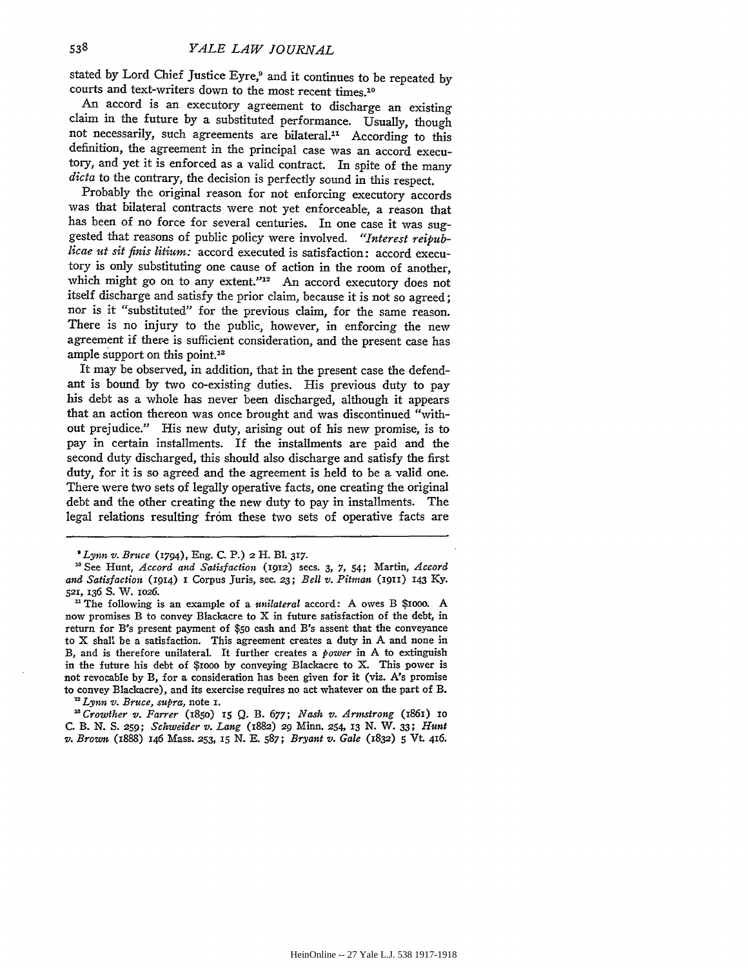stated by Lord Chief Justice Eyre,<sup>9</sup> and it continues to be repeated by courts and text-writers down to the most recent times.1o courts and text-writers down to the most recent times.10

An accord is an executory agreement to discharge an existing claim in the future by a substituted performance. Usually, though not necessarily, such agreements are bilateral.<sup>11</sup> According to this definition, the agreement in the principal case was an accord execu-definition, the agreement in the principal case was an accord executory, and yet it is enforced as a valid contract. In spite of the many *dicta* to the contrary, the decision is perfectly sound in this respect. An accord is an executory agreement to discharge an existing claim in the future by a substituted performance. Usually, though not necessarily, such agreements are bilateral.<sup>11</sup> According to this *dicta* to the contrary, the decision is perfectly sound in this respect.

Probably the original reason for not enforcing executory accords Probably the original reason for not enforcing executory accords was that bilateral contracts were not yet enforceable, a reason that was that bilateral contracts were not yet enforceable, a reason that has been of no force for several centuries. In one case it was sug-<br>gested that reasons of public policy were involved. "Interest reipub-<br>licae ut sit finis litium: accord executed is satisfaction: accord executory is only substituting one cause of action in the room of another, tory is only substituting one cause of action in the room of another, which might go on to any extent."<sup>12</sup> An accord executory does not which might go on to any extent."<sup>12</sup> An accord executory does not<br>itself discharge and satisfy the prior claim, because it is not so agreed; nor is it "substituted" for the previous claim, for the same reason. nor is it "substituted" for the previous claim, for the same reason. There is no injury to the public, however, in enforcing the new There is no injury to the public, however, in enforcing the new agreement if there is sufficient consideration, and the present case has agreement if there is sufficient consideration, and the present case has ample support on this point.<sup>13</sup> has been of no force for several centuries. In one case it was suggested that reasons of public policy were involved. *"Interest reipublicae ut sit finis litium:* accord executed is satisfaction: accord execu-

It may be observed, in addition, that in the present case the defend-It may be observed, in addition, that in the present case the defendant is bound by two co-existing duties. His previous duty to pay his debt as a whole has never been discharged, although it appears his debt as a whole has never been discharged, although it appears that an action thereon was once brought and was discontinued "with-that an action thereon was once brought and was discontinued "without prejudice." His new duty, arising out of his new promise, is to out prejudice." His new duty, arising out of his new promise, is to pay in certain installments. If the installments are paid and the pay in certain installments. If the installments are paid and the second duty discharged, this should also discharge and satisfy the first second duty discharged, this should also discharge and satisfy the first duty, for it is so agreed and the agreement is held to be a valid one. duty, for it is so agreed and the agreement is held to be a valid one. There were two sets of legally operative facts, one creating the original debt and the other creating the new duty to pay in installments. The There were two sets of legally operative facts, one creating the original legal relations resulting from these two sets of operative facts are ant is bound by two co-existing duties. His previous duty to pay debt and the other creating the new duty to pay in installments. The

*" Crowther v. Farrer* (1850) **15** Q. B. 677; *Nash v. Armstrong (186i)* **<sup>10</sup>** *lSCrowther v. Farrer* (1850) 15 Q. B. 677; *Nash v. Armstrong* (1861) IO C. B. N. S. 259; Schweider v. Lang (1882) 29 Minn. 254, 13 N. W. 33; Hunt<br>v. Brown (1888) 146 Mass. 253, 15 N. E. 587; Bryant v. Gale (1832) 5 Vt. 416. *v. Brown* (1888) 146 Mass. 253, 15 N. E. 587; *Bryant v. Gale* (1832) 5 Vt. 416.

*<sup>•</sup>Lynn v. Bruce* (1794), Eng. C. P.) 2 H. Bl. 317.

<sup>\*</sup>Lynn v. Bruce (1794), Eng. C. P.) 2 H. Bl. 317.<br><sup>10</sup> See Hunt, Accord and Satisfaction (1912) secs. 3, 7, 54; Martin, Accord and Satisfaction (1914) I Corpus Juris, sec. 23; Bell v. Pitman (1911) 143 Ky.<br>521. 136 S. W. 1026. 521, 136 S. W. 1026.

<sup>&</sup>lt;sup>11</sup> The following is an example of a *unilateral* accord: A owes B \$1000. A now promises B to convey Blackacre to X in future satisfaction of the debt, in return for B's present payment of \$50 cash and B's assent that the conveyance<br>to X shall be a satisfaction. This agreement creates a duty in A and none in B, and is therefore unilateral. It further creates a *power* in A to extinguish<br>in the future his debt of \$1000 by conveying Blackacre to X. This power is not revocable by B, for a consideration has been given for it (viz. A's promise<br>to convey Blackacre), and its exercise requires no act whatever on the part of B. *<sup>2</sup> Lynn v. Bruce, supra,* note I. <sup>12</sup>*Lynn v. Bruce, supra,* note I. now promises B to convey Blackacre to X in future satisfaction of the debt, in to X shall be a satisfaction. This agreement creates a duty in A and none in in the future his debt of \$IOOO by conveying Blackacre to X. This power is not revocable by B, for a consideration has been given for it (viz. A's promise